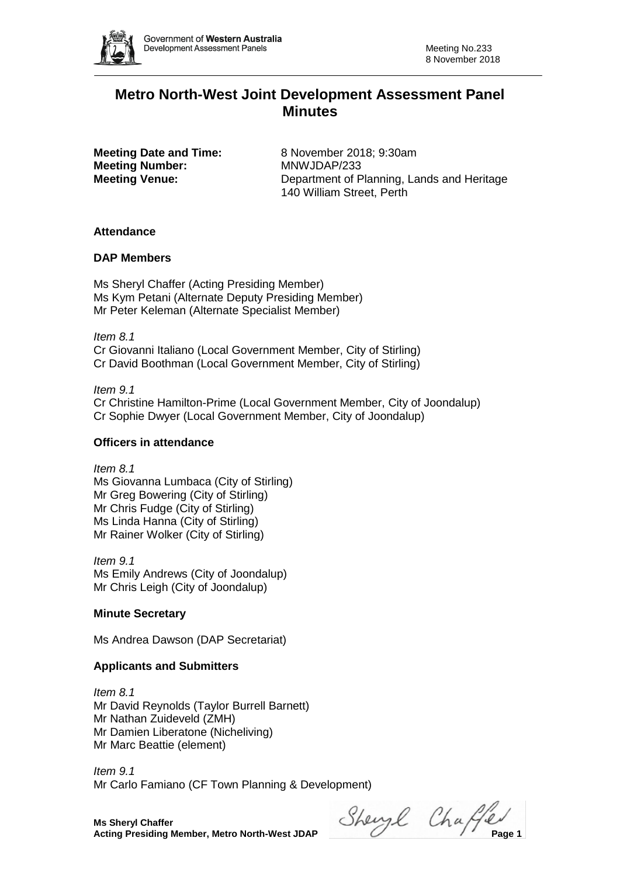

# **Metro North-West Joint Development Assessment Panel Minutes**

**Meeting Number:** MNWJDAP/233

**Meeting Date and Time:** 8 November 2018; 9:30am **Meeting Venue:** Department of Planning, Lands and Heritage 140 William Street, Perth

# **Attendance**

# **DAP Members**

Ms Sheryl Chaffer (Acting Presiding Member) Ms Kym Petani (Alternate Deputy Presiding Member) Mr Peter Keleman (Alternate Specialist Member)

*Item 8.1* Cr Giovanni Italiano (Local Government Member, City of Stirling) Cr David Boothman (Local Government Member, City of Stirling)

*Item 9.1* Cr Christine Hamilton-Prime (Local Government Member, City of Joondalup) Cr Sophie Dwyer (Local Government Member, City of Joondalup)

# **Officers in attendance**

*Item 8.1* Ms Giovanna Lumbaca (City of Stirling) Mr Greg Bowering (City of Stirling) Mr Chris Fudge (City of Stirling) Ms Linda Hanna (City of Stirling) Mr Rainer Wolker (City of Stirling)

*Item 9.1* Ms Emily Andrews (City of Joondalup) Mr Chris Leigh (City of Joondalup)

# **Minute Secretary**

Ms Andrea Dawson (DAP Secretariat)

# **Applicants and Submitters**

*Item 8.1* Mr David Reynolds (Taylor Burrell Barnett) Mr Nathan Zuideveld (ZMH) Mr Damien Liberatone (Nicheliving) Mr Marc Beattie (element)

*Item 9.1* Mr Carlo Famiano (CF Town Planning & Development)

**Ms Sheryl Chaffer**

**Acting Presiding Member, Metro North-West JDAP** Sherry Changer Changer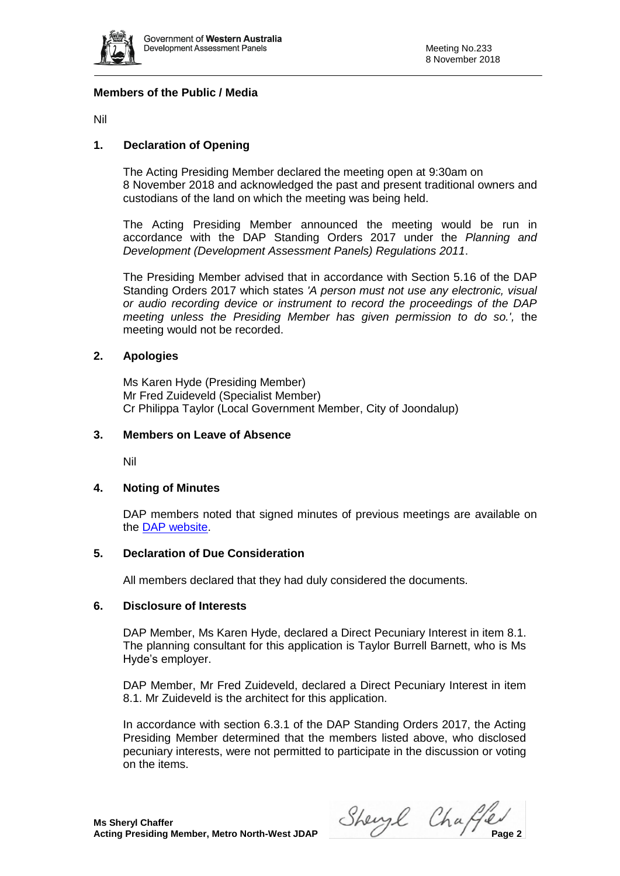

# **Members of the Public / Media**

Nil

# **1. Declaration of Opening**

The Acting Presiding Member declared the meeting open at 9:30am on 8 November 2018 and acknowledged the past and present traditional owners and custodians of the land on which the meeting was being held.

The Acting Presiding Member announced the meeting would be run in accordance with the DAP Standing Orders 2017 under the *Planning and Development (Development Assessment Panels) Regulations 2011*.

The Presiding Member advised that in accordance with Section 5.16 of the DAP Standing Orders 2017 which states *'A person must not use any electronic, visual or audio recording device or instrument to record the proceedings of the DAP meeting unless the Presiding Member has given permission to do so.',* the meeting would not be recorded.

# **2. Apologies**

Ms Karen Hyde (Presiding Member) Mr Fred Zuideveld (Specialist Member) Cr Philippa Taylor (Local Government Member, City of Joondalup)

## **3. Members on Leave of Absence**

Nil

## **4. Noting of Minutes**

DAP members noted that signed minutes of previous meetings are available on the [DAP website.](https://www.planning.wa.gov.au/7578.aspx)

## **5. Declaration of Due Consideration**

All members declared that they had duly considered the documents.

## **6. Disclosure of Interests**

DAP Member, Ms Karen Hyde, declared a Direct Pecuniary Interest in item 8.1. The planning consultant for this application is Taylor Burrell Barnett, who is Ms Hyde's employer.

DAP Member, Mr Fred Zuideveld, declared a Direct Pecuniary Interest in item 8.1. Mr Zuideveld is the architect for this application.

In accordance with section 6.3.1 of the DAP Standing Orders 2017, the Acting Presiding Member determined that the members listed above, who disclosed pecuniary interests, were not permitted to participate in the discussion or voting on the items.

**Acting Presiding Member, Metro North-West JDAP** Shery Change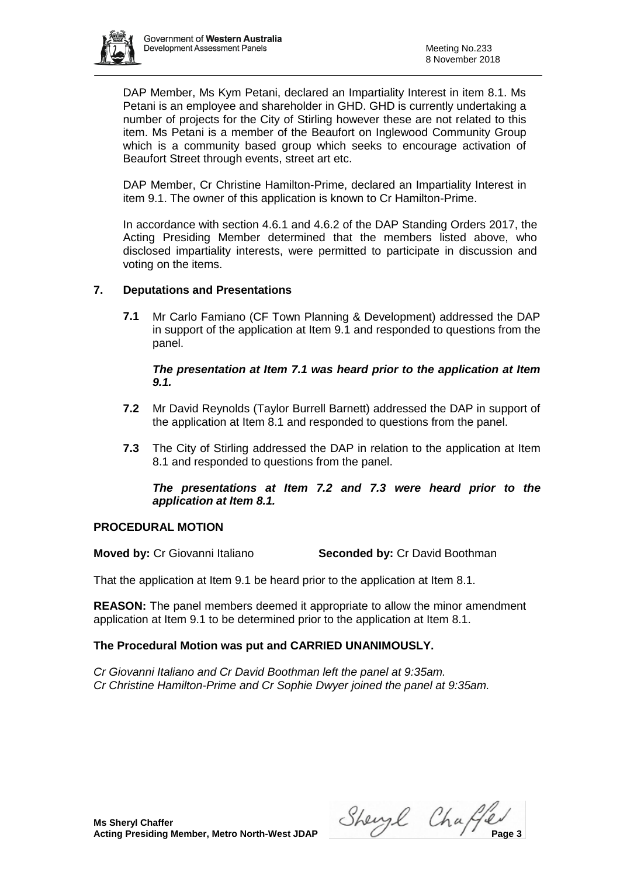

DAP Member, Ms Kym Petani, declared an Impartiality Interest in item 8.1. Ms Petani is an employee and shareholder in GHD. GHD is currently undertaking a number of projects for the City of Stirling however these are not related to this item. Ms Petani is a member of the Beaufort on Inglewood Community Group which is a community based group which seeks to encourage activation of Beaufort Street through events, street art etc.

DAP Member, Cr Christine Hamilton-Prime, declared an Impartiality Interest in item 9.1. The owner of this application is known to Cr Hamilton-Prime.

In accordance with section 4.6.1 and 4.6.2 of the DAP Standing Orders 2017, the Acting Presiding Member determined that the members listed above, who disclosed impartiality interests, were permitted to participate in discussion and voting on the items.

# **7. Deputations and Presentations**

**7.1** Mr Carlo Famiano (CF Town Planning & Development) addressed the DAP in support of the application at Item 9.1 and responded to questions from the panel.

# *The presentation at Item 7.1 was heard prior to the application at Item 9.1.*

- **7.2** Mr David Reynolds (Taylor Burrell Barnett) addressed the DAP in support of the application at Item 8.1 and responded to questions from the panel.
- **7.3** The City of Stirling addressed the DAP in relation to the application at Item 8.1 and responded to questions from the panel.

# *The presentations at Item 7.2 and 7.3 were heard prior to the application at Item 8.1.*

# **PROCEDURAL MOTION**

**Moved by:** Cr Giovanni Italiano **Seconded by:** Cr David Boothman

That the application at Item 9.1 be heard prior to the application at Item 8.1.

**REASON:** The panel members deemed it appropriate to allow the minor amendment application at Item 9.1 to be determined prior to the application at Item 8.1.

# **The Procedural Motion was put and CARRIED UNANIMOUSLY.**

*Cr Giovanni Italiano and Cr David Boothman left the panel at 9:35am. Cr Christine Hamilton-Prime and Cr Sophie Dwyer joined the panel at 9:35am.*

**Ms Sheryl Chaffer**

**Acting Presiding Member, Metro North-West JDAP** Sherry Change 24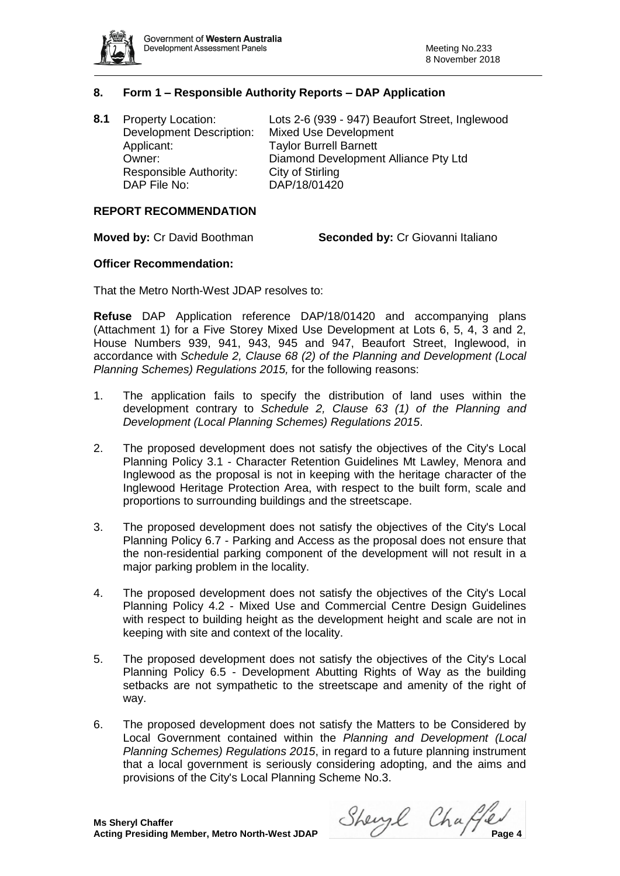

# **8. Form 1 – Responsible Authority Reports – DAP Application**

| 8.1 | <b>Property Location:</b>       | Lots 2-6 (939 - 947) Beaufort Street, Inglewood |
|-----|---------------------------------|-------------------------------------------------|
|     | <b>Development Description:</b> | <b>Mixed Use Development</b>                    |
|     | Applicant:                      | <b>Taylor Burrell Barnett</b>                   |
|     | Owner:                          | Diamond Development Alliance Pty Ltd            |
|     | Responsible Authority:          | City of Stirling                                |
|     | DAP File No:                    | DAP/18/01420                                    |
|     |                                 |                                                 |

#### **REPORT RECOMMENDATION**

**Moved by:** Cr David Boothman **Seconded by:** Cr Giovanni Italiano

#### **Officer Recommendation:**

That the Metro North-West JDAP resolves to:

**Refuse** DAP Application reference DAP/18/01420 and accompanying plans (Attachment 1) for a Five Storey Mixed Use Development at Lots 6, 5, 4, 3 and 2, House Numbers 939, 941, 943, 945 and 947, Beaufort Street, Inglewood, in accordance with *Schedule 2, Clause 68 (2) of the Planning and Development (Local Planning Schemes) Regulations 2015,* for the following reasons:

- 1. The application fails to specify the distribution of land uses within the development contrary to *Schedule 2, Clause 63 (1) of the Planning and Development (Local Planning Schemes) Regulations 2015*.
- 2. The proposed development does not satisfy the objectives of the City's Local Planning Policy 3.1 - Character Retention Guidelines Mt Lawley, Menora and Inglewood as the proposal is not in keeping with the heritage character of the Inglewood Heritage Protection Area, with respect to the built form, scale and proportions to surrounding buildings and the streetscape.
- 3. The proposed development does not satisfy the objectives of the City's Local Planning Policy 6.7 - Parking and Access as the proposal does not ensure that the non-residential parking component of the development will not result in a major parking problem in the locality.
- 4. The proposed development does not satisfy the objectives of the City's Local Planning Policy 4.2 - Mixed Use and Commercial Centre Design Guidelines with respect to building height as the development height and scale are not in keeping with site and context of the locality.
- 5. The proposed development does not satisfy the objectives of the City's Local Planning Policy 6.5 - Development Abutting Rights of Way as the building setbacks are not sympathetic to the streetscape and amenity of the right of way.
- 6. The proposed development does not satisfy the Matters to be Considered by Local Government contained within the *Planning and Development (Local Planning Schemes) Regulations 2015*, in regard to a future planning instrument that a local government is seriously considering adopting, and the aims and provisions of the City's Local Planning Scheme No.3.

**Acting Presiding Member, Metro North-West JDAP** Sheing Change 4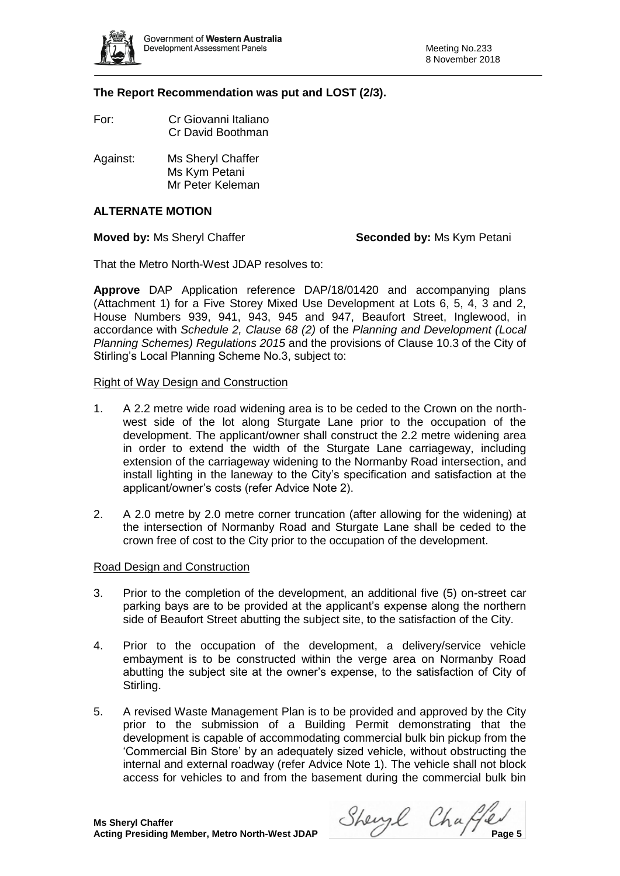

# **The Report Recommendation was put and LOST (2/3).**

- For: Cr Giovanni Italiano Cr David Boothman
- Against: Ms Sheryl Chaffer Ms Kym Petani Mr Peter Keleman

# **ALTERNATE MOTION**

## **Moved by: Ms Sheryl Chaffer <b>Seconded by:** Ms Kym Petani

That the Metro North-West JDAP resolves to:

**Approve** DAP Application reference DAP/18/01420 and accompanying plans (Attachment 1) for a Five Storey Mixed Use Development at Lots 6, 5, 4, 3 and 2, House Numbers 939, 941, 943, 945 and 947, Beaufort Street, Inglewood, in accordance with *Schedule 2, Clause 68 (2)* of the *Planning and Development (Local Planning Schemes) Regulations 2015* and the provisions of Clause 10.3 of the City of Stirling's Local Planning Scheme No.3, subject to:

# Right of Way Design and Construction

- 1. A 2.2 metre wide road widening area is to be ceded to the Crown on the northwest side of the lot along Sturgate Lane prior to the occupation of the development. The applicant/owner shall construct the 2.2 metre widening area in order to extend the width of the Sturgate Lane carriageway, including extension of the carriageway widening to the Normanby Road intersection, and install lighting in the laneway to the City's specification and satisfaction at the applicant/owner's costs (refer Advice Note 2).
- 2. A 2.0 metre by 2.0 metre corner truncation (after allowing for the widening) at the intersection of Normanby Road and Sturgate Lane shall be ceded to the crown free of cost to the City prior to the occupation of the development.

## Road Design and Construction

- 3. Prior to the completion of the development, an additional five (5) on-street car parking bays are to be provided at the applicant's expense along the northern side of Beaufort Street abutting the subject site, to the satisfaction of the City.
- 4. Prior to the occupation of the development, a delivery/service vehicle embayment is to be constructed within the verge area on Normanby Road abutting the subject site at the owner's expense, to the satisfaction of City of Stirling.
- 5. A revised Waste Management Plan is to be provided and approved by the City prior to the submission of a Building Permit demonstrating that the development is capable of accommodating commercial bulk bin pickup from the 'Commercial Bin Store' by an adequately sized vehicle, without obstructing the internal and external roadway (refer Advice Note 1). The vehicle shall not block access for vehicles to and from the basement during the commercial bulk bin

**Acting Presiding Member, Metro North-West JDAP** Sherry Changes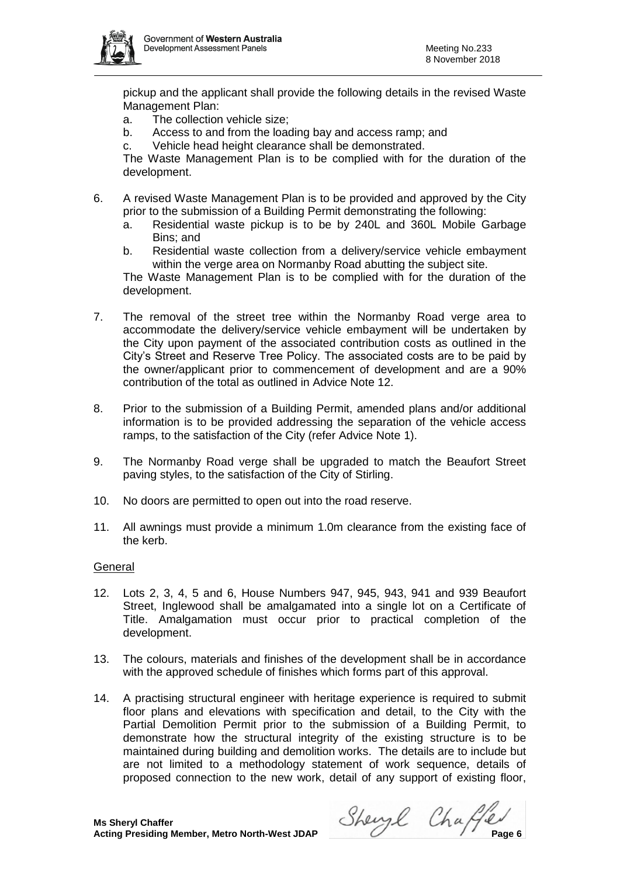

pickup and the applicant shall provide the following details in the revised Waste Management Plan:

- a. The collection vehicle size;
- b. Access to and from the loading bay and access ramp; and
- c. Vehicle head height clearance shall be demonstrated.

The Waste Management Plan is to be complied with for the duration of the development.

- 6. A revised Waste Management Plan is to be provided and approved by the City prior to the submission of a Building Permit demonstrating the following:
	- a. Residential waste pickup is to be by 240L and 360L Mobile Garbage Bins; and
	- b. Residential waste collection from a delivery/service vehicle embayment within the verge area on Normanby Road abutting the subject site.

The Waste Management Plan is to be complied with for the duration of the development.

- 7. The removal of the street tree within the Normanby Road verge area to accommodate the delivery/service vehicle embayment will be undertaken by the City upon payment of the associated contribution costs as outlined in the City's Street and Reserve Tree Policy. The associated costs are to be paid by the owner/applicant prior to commencement of development and are a 90% contribution of the total as outlined in Advice Note 12.
- 8. Prior to the submission of a Building Permit, amended plans and/or additional information is to be provided addressing the separation of the vehicle access ramps, to the satisfaction of the City (refer Advice Note 1).
- 9. The Normanby Road verge shall be upgraded to match the Beaufort Street paving styles, to the satisfaction of the City of Stirling.
- 10. No doors are permitted to open out into the road reserve.
- 11. All awnings must provide a minimum 1.0m clearance from the existing face of the kerb.

## General

- 12. Lots 2, 3, 4, 5 and 6, House Numbers 947, 945, 943, 941 and 939 Beaufort Street, Inglewood shall be amalgamated into a single lot on a Certificate of Title. Amalgamation must occur prior to practical completion of the development.
- 13. The colours, materials and finishes of the development shall be in accordance with the approved schedule of finishes which forms part of this approval.
- 14. A practising structural engineer with heritage experience is required to submit floor plans and elevations with specification and detail, to the City with the Partial Demolition Permit prior to the submission of a Building Permit, to demonstrate how the structural integrity of the existing structure is to be maintained during building and demolition works. The details are to include but are not limited to a methodology statement of work sequence, details of proposed connection to the new work, detail of any support of existing floor,

**Acting Presiding Member, Metro North-West JDAP** Sherry Change 6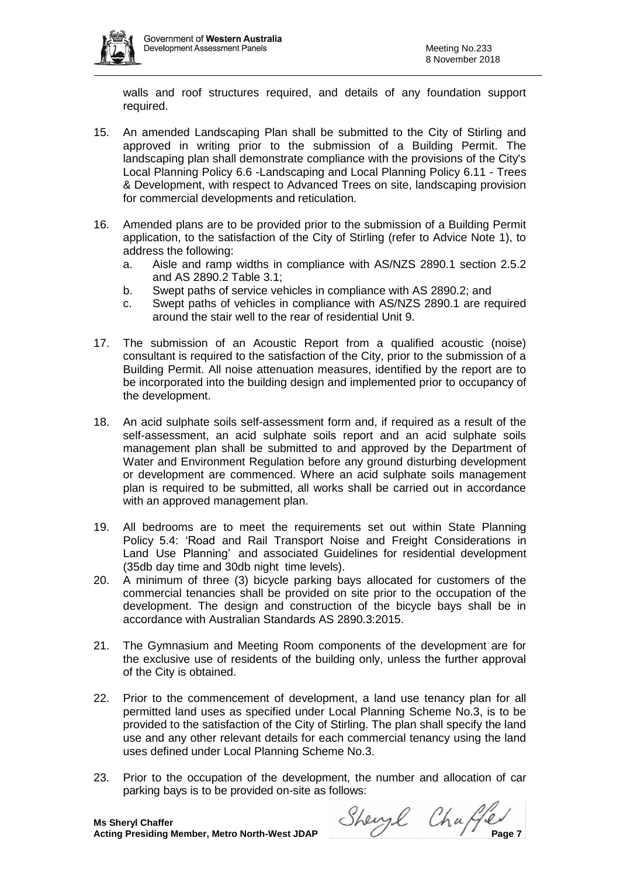walls and roof structures required, and details of any foundation support required.

- 15. An amended Landscaping Plan shall be submitted to the City of Stirling and approved in writing prior to the submission of a Building Permit. The landscaping plan shall demonstrate compliance with the provisions of the City's Local Planning Policy 6.6 -Landscaping and Local Planning Policy 6.11 - Trees & Development, with respect to Advanced Trees on site, landscaping provision for commercial developments and reticulation.
- 16. Amended plans are to be provided prior to the submission of a Building Permit application, to the satisfaction of the City of Stirling (refer to Advice Note 1), to address the following:
	- a. Aisle and ramp widths in compliance with AS/NZS 2890.1 section 2.5.2 and AS 2890.2 Table 3.1;
	- b. Swept paths of service vehicles in compliance with AS 2890.2; and
	- c. Swept paths of vehicles in compliance with AS/NZS 2890.1 are required around the stair well to the rear of residential Unit 9.
- 17. The submission of an Acoustic Report from a qualified acoustic (noise) consultant is required to the satisfaction of the City, prior to the submission of a Building Permit. All noise attenuation measures, identified by the report are to be incorporated into the building design and implemented prior to occupancy of the development.
- 18. An acid sulphate soils self-assessment form and, if required as a result of the self-assessment, an acid sulphate soils report and an acid sulphate soils management plan shall be submitted to and approved by the Department of Water and Environment Regulation before any ground disturbing development or development are commenced. Where an acid sulphate soils management plan is required to be submitted, all works shall be carried out in accordance with an approved management plan.
- 19. All bedrooms are to meet the requirements set out within State Planning Policy 5.4: 'Road and Rail Transport Noise and Freight Considerations in Land Use Planning' and associated Guidelines for residential development (35db day time and 30db night time levels).
- 20. A minimum of three (3) bicycle parking bays allocated for customers of the commercial tenancies shall be provided on site prior to the occupation of the development. The design and construction of the bicycle bays shall be in accordance with Australian Standards AS 2890.3:2015.
- 21. The Gymnasium and Meeting Room components of the development are for the exclusive use of residents of the building only, unless the further approval of the City is obtained.
- 22. Prior to the commencement of development, a land use tenancy plan for all permitted land uses as specified under Local Planning Scheme No.3, is to be provided to the satisfaction of the City of Stirling. The plan shall specify the land use and any other relevant details for each commercial tenancy using the land uses defined under Local Planning Scheme No.3.
- 23. Prior to the occupation of the development, the number and allocation of car parking bays is to be provided on-site as follows:

**Acting Presiding Member, Metro North-West JDAP** Sherry Change 7 Page 7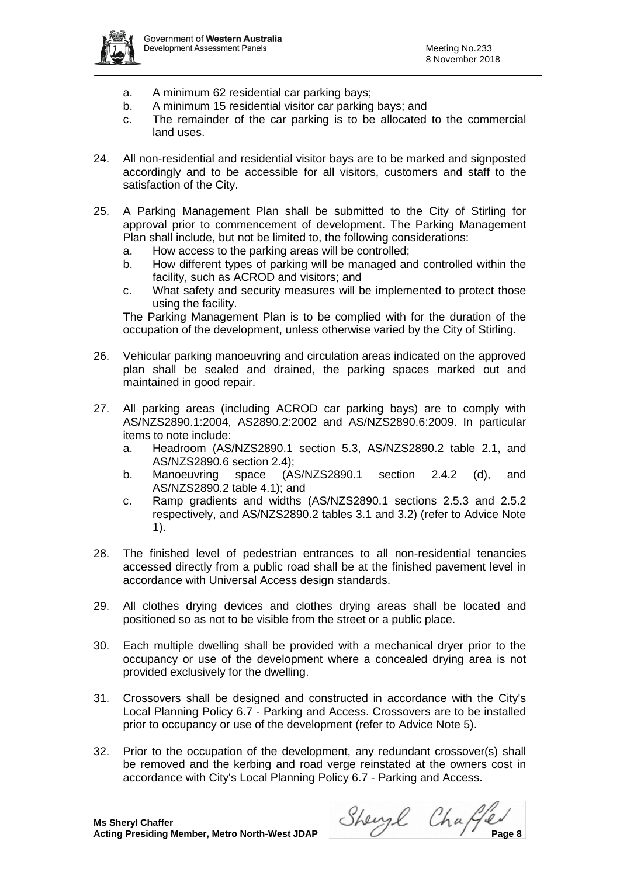

- a. A minimum 62 residential car parking bays;
- b. A minimum 15 residential visitor car parking bays; and
- c. The remainder of the car parking is to be allocated to the commercial land uses.
- 24. All non-residential and residential visitor bays are to be marked and signposted accordingly and to be accessible for all visitors, customers and staff to the satisfaction of the City.
- 25. A Parking Management Plan shall be submitted to the City of Stirling for approval prior to commencement of development. The Parking Management Plan shall include, but not be limited to, the following considerations:
	- a. How access to the parking areas will be controlled;
	- b. How different types of parking will be managed and controlled within the facility, such as ACROD and visitors; and
	- c. What safety and security measures will be implemented to protect those using the facility.

The Parking Management Plan is to be complied with for the duration of the occupation of the development, unless otherwise varied by the City of Stirling.

- 26. Vehicular parking manoeuvring and circulation areas indicated on the approved plan shall be sealed and drained, the parking spaces marked out and maintained in good repair.
- 27. All parking areas (including ACROD car parking bays) are to comply with AS/NZS2890.1:2004, AS2890.2:2002 and AS/NZS2890.6:2009. In particular items to note include:
	- a. Headroom (AS/NZS2890.1 section 5.3, AS/NZS2890.2 table 2.1, and AS/NZS2890.6 section 2.4);
	- b. Manoeuvring space (AS/NZS2890.1 section 2.4.2 (d), and AS/NZS2890.2 table 4.1); and
	- c. Ramp gradients and widths (AS/NZS2890.1 sections 2.5.3 and 2.5.2 respectively, and AS/NZS2890.2 tables 3.1 and 3.2) (refer to Advice Note 1).
- 28. The finished level of pedestrian entrances to all non-residential tenancies accessed directly from a public road shall be at the finished pavement level in accordance with Universal Access design standards.
- 29. All clothes drying devices and clothes drying areas shall be located and positioned so as not to be visible from the street or a public place.
- 30. Each multiple dwelling shall be provided with a mechanical dryer prior to the occupancy or use of the development where a concealed drying area is not provided exclusively for the dwelling.
- 31. Crossovers shall be designed and constructed in accordance with the City's Local Planning Policy 6.7 - Parking and Access. Crossovers are to be installed prior to occupancy or use of the development (refer to Advice Note 5).
- 32. Prior to the occupation of the development, any redundant crossover(s) shall be removed and the kerbing and road verge reinstated at the owners cost in accordance with City's Local Planning Policy 6.7 - Parking and Access.

**Acting Presiding Member, Metro North-West JDAP** Shery Change and Change 8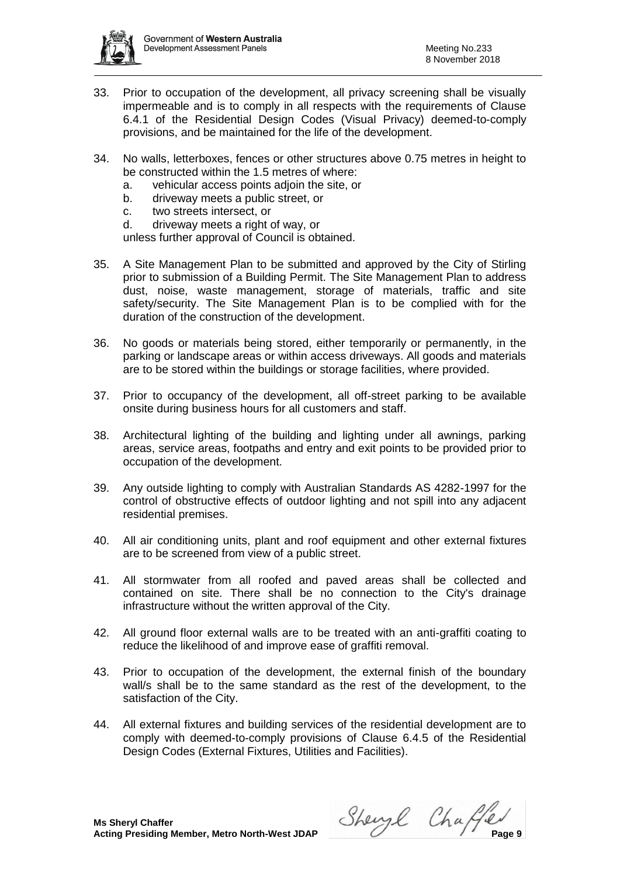

- 33. Prior to occupation of the development, all privacy screening shall be visually impermeable and is to comply in all respects with the requirements of Clause 6.4.1 of the Residential Design Codes (Visual Privacy) deemed-to-comply provisions, and be maintained for the life of the development.
- 34. No walls, letterboxes, fences or other structures above 0.75 metres in height to be constructed within the 1.5 metres of where:
	- a. vehicular access points adjoin the site, or
	- b. driveway meets a public street, or
	- c. two streets intersect, or
	- d. driveway meets a right of way, or

unless further approval of Council is obtained.

- 35. A Site Management Plan to be submitted and approved by the City of Stirling prior to submission of a Building Permit. The Site Management Plan to address dust, noise, waste management, storage of materials, traffic and site safety/security. The Site Management Plan is to be complied with for the duration of the construction of the development.
- 36. No goods or materials being stored, either temporarily or permanently, in the parking or landscape areas or within access driveways. All goods and materials are to be stored within the buildings or storage facilities, where provided.
- 37. Prior to occupancy of the development, all off-street parking to be available onsite during business hours for all customers and staff.
- 38. Architectural lighting of the building and lighting under all awnings, parking areas, service areas, footpaths and entry and exit points to be provided prior to occupation of the development.
- 39. Any outside lighting to comply with Australian Standards AS 4282-1997 for the control of obstructive effects of outdoor lighting and not spill into any adjacent residential premises.
- 40. All air conditioning units, plant and roof equipment and other external fixtures are to be screened from view of a public street.
- 41. All stormwater from all roofed and paved areas shall be collected and contained on site. There shall be no connection to the City's drainage infrastructure without the written approval of the City.
- 42. All ground floor external walls are to be treated with an anti-graffiti coating to reduce the likelihood of and improve ease of graffiti removal.
- 43. Prior to occupation of the development, the external finish of the boundary wall/s shall be to the same standard as the rest of the development, to the satisfaction of the City.
- 44. All external fixtures and building services of the residential development are to comply with deemed-to-comply provisions of Clause 6.4.5 of the Residential Design Codes (External Fixtures, Utilities and Facilities).

**Acting Presiding Member, Metro North-West JDAP** Sherry Change Presiding Member, Metro North-West JDAP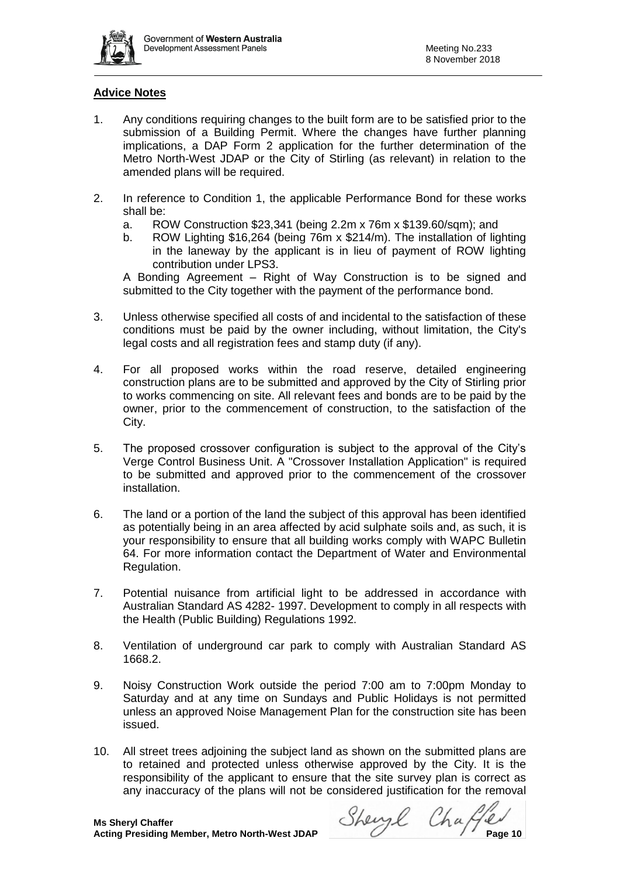

# **Advice Notes**

- 1. Any conditions requiring changes to the built form are to be satisfied prior to the submission of a Building Permit. Where the changes have further planning implications, a DAP Form 2 application for the further determination of the Metro North-West JDAP or the City of Stirling (as relevant) in relation to the amended plans will be required.
- 2. In reference to Condition 1, the applicable Performance Bond for these works shall be:
	- a. ROW Construction \$23,341 (being 2.2m x 76m x \$139.60/sqm); and
	- b. ROW Lighting \$16,264 (being 76m x \$214/m). The installation of lighting in the laneway by the applicant is in lieu of payment of ROW lighting contribution under LPS3.

A Bonding Agreement – Right of Way Construction is to be signed and submitted to the City together with the payment of the performance bond.

- 3. Unless otherwise specified all costs of and incidental to the satisfaction of these conditions must be paid by the owner including, without limitation, the City's legal costs and all registration fees and stamp duty (if any).
- 4. For all proposed works within the road reserve, detailed engineering construction plans are to be submitted and approved by the City of Stirling prior to works commencing on site. All relevant fees and bonds are to be paid by the owner, prior to the commencement of construction, to the satisfaction of the City.
- 5. The proposed crossover configuration is subject to the approval of the City's Verge Control Business Unit. A "Crossover Installation Application" is required to be submitted and approved prior to the commencement of the crossover installation.
- 6. The land or a portion of the land the subject of this approval has been identified as potentially being in an area affected by acid sulphate soils and, as such, it is your responsibility to ensure that all building works comply with WAPC Bulletin 64. For more information contact the Department of Water and Environmental Regulation.
- 7. Potential nuisance from artificial light to be addressed in accordance with Australian Standard AS 4282- 1997. Development to comply in all respects with the Health (Public Building) Regulations 1992.
- 8. Ventilation of underground car park to comply with Australian Standard AS 1668.2.
- 9. Noisy Construction Work outside the period 7:00 am to 7:00pm Monday to Saturday and at any time on Sundays and Public Holidays is not permitted unless an approved Noise Management Plan for the construction site has been issued.
- 10. All street trees adjoining the subject land as shown on the submitted plans are to retained and protected unless otherwise approved by the City. It is the responsibility of the applicant to ensure that the site survey plan is correct as any inaccuracy of the plans will not be considered justification for the removal

**Acting Presiding Member, Metro North-West JDAP** Shery Change 10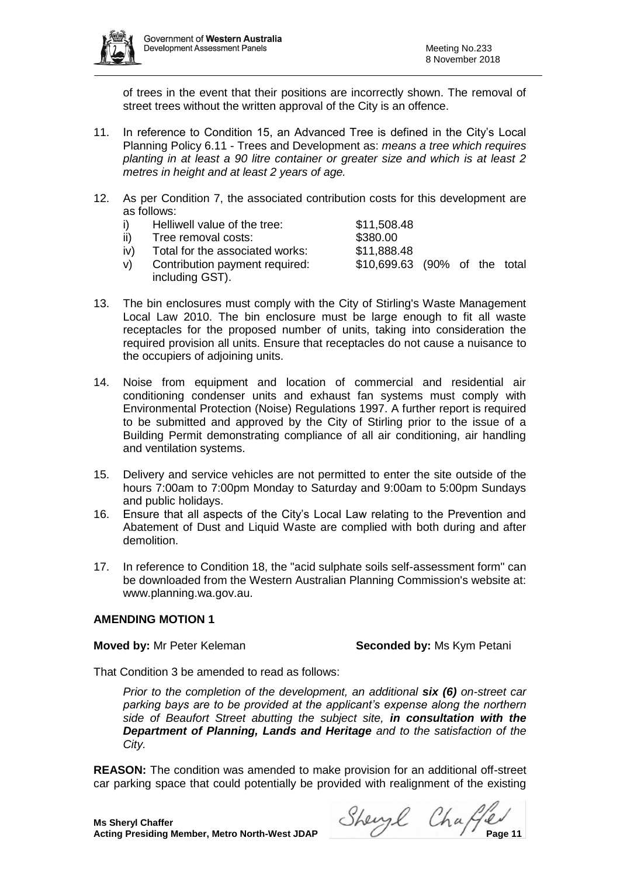

of trees in the event that their positions are incorrectly shown. The removal of street trees without the written approval of the City is an offence.

- 11. In reference to Condition 15, an Advanced Tree is defined in the City's Local Planning Policy 6.11 - Trees and Development as: *means a tree which requires planting in at least a 90 litre container or greater size and which is at least 2 metres in height and at least 2 years of age.*
- 12. As per Condition 7, the associated contribution costs for this development are as follows:
	- i) Helliwell value of the tree: \$11,508.48
	- ii) Tree removal costs: \$380.00
		-
	- iv) Total for the associated works: \$11,888.48
	- v) Contribution payment required: \$10,699.63 (90% of the total including GST).
- 13. The bin enclosures must comply with the City of Stirling's Waste Management Local Law 2010. The bin enclosure must be large enough to fit all waste receptacles for the proposed number of units, taking into consideration the required provision all units. Ensure that receptacles do not cause a nuisance to the occupiers of adjoining units.
- 14. Noise from equipment and location of commercial and residential air conditioning condenser units and exhaust fan systems must comply with Environmental Protection (Noise) Regulations 1997. A further report is required to be submitted and approved by the City of Stirling prior to the issue of a Building Permit demonstrating compliance of all air conditioning, air handling and ventilation systems.
- 15. Delivery and service vehicles are not permitted to enter the site outside of the hours 7:00am to 7:00pm Monday to Saturday and 9:00am to 5:00pm Sundays and public holidays.
- 16. Ensure that all aspects of the City's Local Law relating to the Prevention and Abatement of Dust and Liquid Waste are complied with both during and after demolition.
- 17. In reference to Condition 18, the "acid sulphate soils self-assessment form" can be downloaded from the Western Australian Planning Commission's website at: www.planning.wa.gov.au.

# **AMENDING MOTION 1**

**Moved by:** Mr Peter Keleman **Seconded by:** Ms Kym Petani

That Condition 3 be amended to read as follows:

*Prior to the completion of the development, an additional six (6) on-street car parking bays are to be provided at the applicant's expense along the northern side of Beaufort Street abutting the subject site, in consultation with the Department of Planning, Lands and Heritage and to the satisfaction of the City.*

**REASON:** The condition was amended to make provision for an additional off-street car parking space that could potentially be provided with realignment of the existing

**Acting Presiding Member, Metro North-West JDAP** Shery Change 11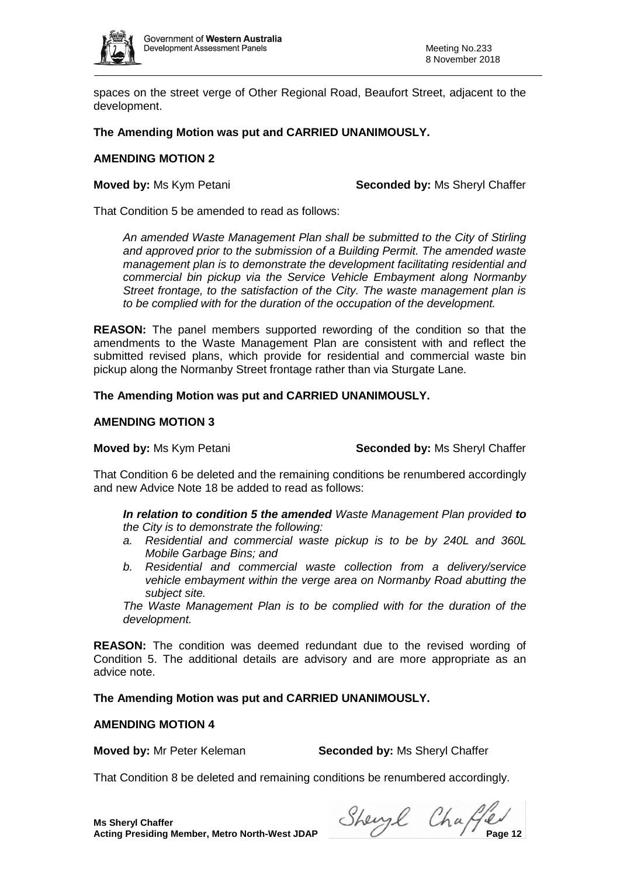

spaces on the street verge of Other Regional Road, Beaufort Street, adjacent to the development.

# **The Amending Motion was put and CARRIED UNANIMOUSLY.**

## **AMENDING MOTION 2**

**Moved by:** Ms Kym Petani **Seconded by:** Ms Sheryl Chaffer

That Condition 5 be amended to read as follows:

*An amended Waste Management Plan shall be submitted to the City of Stirling and approved prior to the submission of a Building Permit. The amended waste management plan is to demonstrate the development facilitating residential and commercial bin pickup via the Service Vehicle Embayment along Normanby Street frontage, to the satisfaction of the City. The waste management plan is to be complied with for the duration of the occupation of the development.* 

**REASON:** The panel members supported rewording of the condition so that the amendments to the Waste Management Plan are consistent with and reflect the submitted revised plans, which provide for residential and commercial waste bin pickup along the Normanby Street frontage rather than via Sturgate Lane.

# **The Amending Motion was put and CARRIED UNANIMOUSLY.**

## **AMENDING MOTION 3**

**Moved by:** Ms Kym Petani **Seconded by:** Ms Sheryl Chaffer

That Condition 6 be deleted and the remaining conditions be renumbered accordingly and new Advice Note 18 be added to read as follows:

*In relation to condition 5 the amended Waste Management Plan provided to the City is to demonstrate the following:*

- *a. Residential and commercial waste pickup is to be by 240L and 360L Mobile Garbage Bins; and*
- *b. Residential and commercial waste collection from a delivery/service vehicle embayment within the verge area on Normanby Road abutting the subject site.*

*The Waste Management Plan is to be complied with for the duration of the development.*

**REASON:** The condition was deemed redundant due to the revised wording of Condition 5. The additional details are advisory and are more appropriate as an advice note.

**The Amending Motion was put and CARRIED UNANIMOUSLY.**

## **AMENDING MOTION 4**

**Moved by:** Mr Peter Keleman **Seconded by:** Ms Sheryl Chaffer

That Condition 8 be deleted and remaining conditions be renumbered accordingly.

**Acting Presiding Member, Metro North-West JDAP** Shery Change Presiding Member, Metro North-West JDAP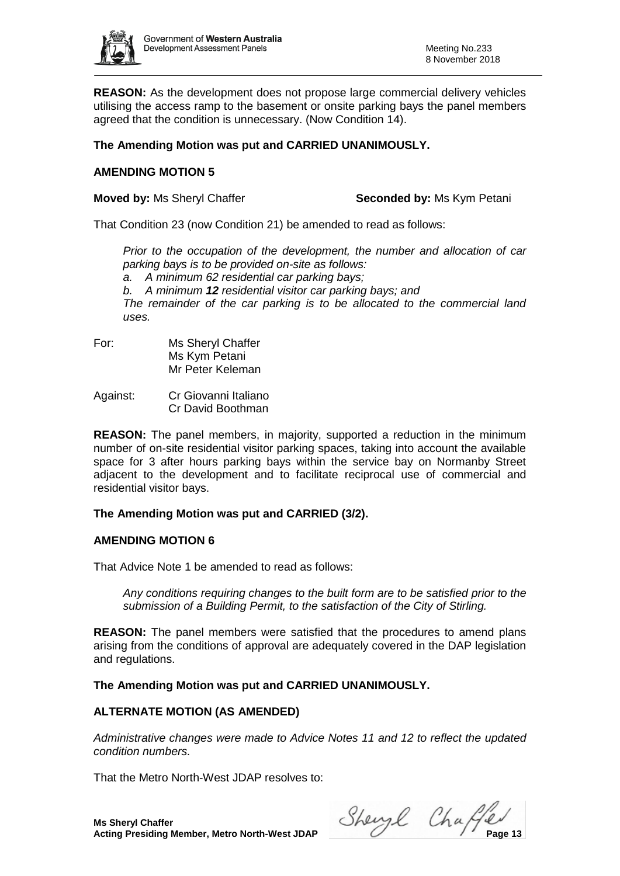

**REASON:** As the development does not propose large commercial delivery vehicles utilising the access ramp to the basement or onsite parking bays the panel members agreed that the condition is unnecessary. (Now Condition 14).

# **The Amending Motion was put and CARRIED UNANIMOUSLY.**

# **AMENDING MOTION 5**

**Moved by: Ms Sheryl Chaffer <b>Seconded by:** Ms Kym Petani

That Condition 23 (now Condition 21) be amended to read as follows:

*Prior to the occupation of the development, the number and allocation of car parking bays is to be provided on-site as follows: a. A minimum 62 residential car parking bays; b. A minimum 12 residential visitor car parking bays; and The remainder of the car parking is to be allocated to the commercial land uses.*

For: Ms Sheryl Chaffer Ms Kym Petani Mr Peter Keleman

Against: Cr Giovanni Italiano Cr David Boothman

**REASON:** The panel members, in majority, supported a reduction in the minimum number of on-site residential visitor parking spaces, taking into account the available space for 3 after hours parking bays within the service bay on Normanby Street adjacent to the development and to facilitate reciprocal use of commercial and residential visitor bays.

# **The Amending Motion was put and CARRIED (3/2).**

# **AMENDING MOTION 6**

That Advice Note 1 be amended to read as follows:

*Any conditions requiring changes to the built form are to be satisfied prior to the submission of a Building Permit, to the satisfaction of the City of Stirling.*

**REASON:** The panel members were satisfied that the procedures to amend plans arising from the conditions of approval are adequately covered in the DAP legislation and regulations.

**The Amending Motion was put and CARRIED UNANIMOUSLY.**

# **ALTERNATE MOTION (AS AMENDED)**

*Administrative changes were made to Advice Notes 11 and 12 to reflect the updated condition numbers.*

That the Metro North-West JDAP resolves to:

**Ms Sheryl Chaffer**

**Acting Presiding Member, Metro North-West JDAP** Sherry Changer Changer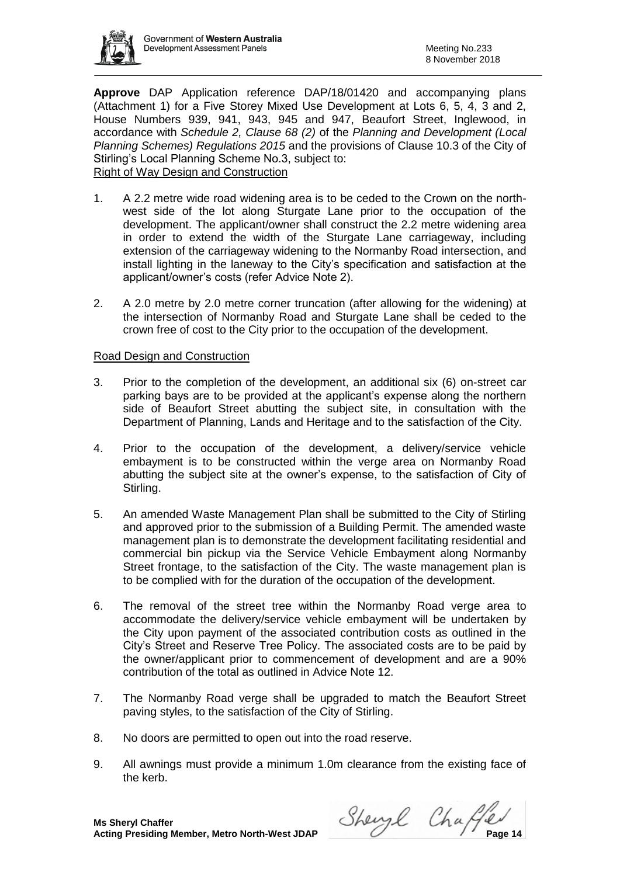

**Approve** DAP Application reference DAP/18/01420 and accompanying plans (Attachment 1) for a Five Storey Mixed Use Development at Lots 6, 5, 4, 3 and 2, House Numbers 939, 941, 943, 945 and 947, Beaufort Street, Inglewood, in accordance with *Schedule 2, Clause 68 (2)* of the *Planning and Development (Local Planning Schemes) Regulations 2015* and the provisions of Clause 10.3 of the City of Stirling's Local Planning Scheme No.3, subject to: Right of Way Design and Construction

- 1. A 2.2 metre wide road widening area is to be ceded to the Crown on the northwest side of the lot along Sturgate Lane prior to the occupation of the development. The applicant/owner shall construct the 2.2 metre widening area in order to extend the width of the Sturgate Lane carriageway, including extension of the carriageway widening to the Normanby Road intersection, and install lighting in the laneway to the City's specification and satisfaction at the applicant/owner's costs (refer Advice Note 2).
- 2. A 2.0 metre by 2.0 metre corner truncation (after allowing for the widening) at the intersection of Normanby Road and Sturgate Lane shall be ceded to the crown free of cost to the City prior to the occupation of the development.

# Road Design and Construction

- 3. Prior to the completion of the development, an additional six (6) on-street car parking bays are to be provided at the applicant's expense along the northern side of Beaufort Street abutting the subject site, in consultation with the Department of Planning, Lands and Heritage and to the satisfaction of the City.
- 4. Prior to the occupation of the development, a delivery/service vehicle embayment is to be constructed within the verge area on Normanby Road abutting the subject site at the owner's expense, to the satisfaction of City of Stirling.
- 5. An amended Waste Management Plan shall be submitted to the City of Stirling and approved prior to the submission of a Building Permit. The amended waste management plan is to demonstrate the development facilitating residential and commercial bin pickup via the Service Vehicle Embayment along Normanby Street frontage, to the satisfaction of the City. The waste management plan is to be complied with for the duration of the occupation of the development.
- 6. The removal of the street tree within the Normanby Road verge area to accommodate the delivery/service vehicle embayment will be undertaken by the City upon payment of the associated contribution costs as outlined in the City's Street and Reserve Tree Policy. The associated costs are to be paid by the owner/applicant prior to commencement of development and are a 90% contribution of the total as outlined in Advice Note 12.
- 7. The Normanby Road verge shall be upgraded to match the Beaufort Street paving styles, to the satisfaction of the City of Stirling.
- 8. No doors are permitted to open out into the road reserve.
- 9. All awnings must provide a minimum 1.0m clearance from the existing face of the kerb.

**Acting Presiding Member, Metro North-West JDAP** Sherry Change 1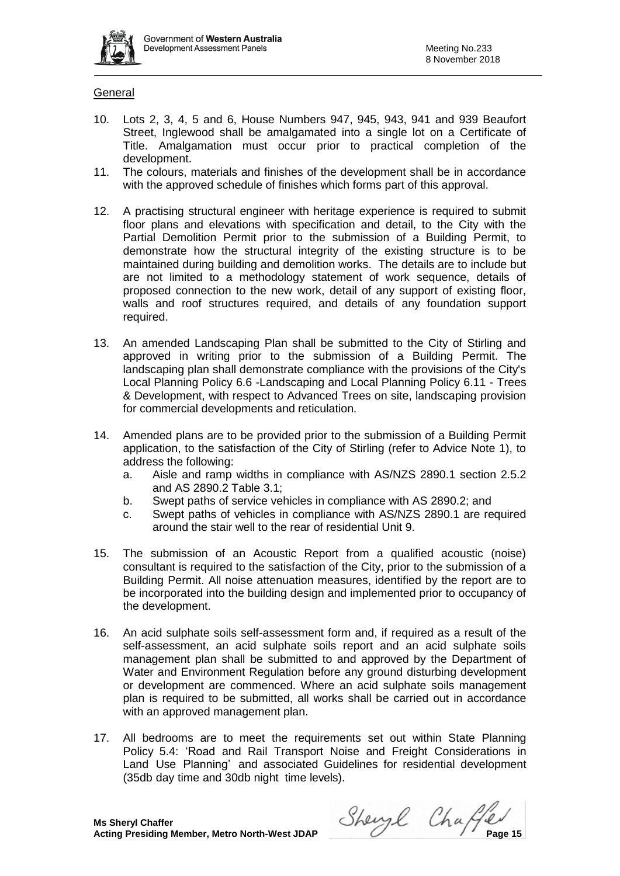

# General

- 10. Lots 2, 3, 4, 5 and 6, House Numbers 947, 945, 943, 941 and 939 Beaufort Street, Inglewood shall be amalgamated into a single lot on a Certificate of Title. Amalgamation must occur prior to practical completion of the development.
- 11. The colours, materials and finishes of the development shall be in accordance with the approved schedule of finishes which forms part of this approval.
- 12. A practising structural engineer with heritage experience is required to submit floor plans and elevations with specification and detail, to the City with the Partial Demolition Permit prior to the submission of a Building Permit, to demonstrate how the structural integrity of the existing structure is to be maintained during building and demolition works. The details are to include but are not limited to a methodology statement of work sequence, details of proposed connection to the new work, detail of any support of existing floor, walls and roof structures required, and details of any foundation support required.
- 13. An amended Landscaping Plan shall be submitted to the City of Stirling and approved in writing prior to the submission of a Building Permit. The landscaping plan shall demonstrate compliance with the provisions of the City's Local Planning Policy 6.6 -Landscaping and Local Planning Policy 6.11 - Trees & Development, with respect to Advanced Trees on site, landscaping provision for commercial developments and reticulation.
- 14. Amended plans are to be provided prior to the submission of a Building Permit application, to the satisfaction of the City of Stirling (refer to Advice Note 1), to address the following:
	- a. Aisle and ramp widths in compliance with AS/NZS 2890.1 section 2.5.2 and AS 2890.2 Table 3.1;
	- b. Swept paths of service vehicles in compliance with AS 2890.2; and
	- c. Swept paths of vehicles in compliance with AS/NZS 2890.1 are required around the stair well to the rear of residential Unit 9.
- 15. The submission of an Acoustic Report from a qualified acoustic (noise) consultant is required to the satisfaction of the City, prior to the submission of a Building Permit. All noise attenuation measures, identified by the report are to be incorporated into the building design and implemented prior to occupancy of the development.
- 16. An acid sulphate soils self-assessment form and, if required as a result of the self-assessment, an acid sulphate soils report and an acid sulphate soils management plan shall be submitted to and approved by the Department of Water and Environment Regulation before any ground disturbing development or development are commenced. Where an acid sulphate soils management plan is required to be submitted, all works shall be carried out in accordance with an approved management plan.
- 17. All bedrooms are to meet the requirements set out within State Planning Policy 5.4: 'Road and Rail Transport Noise and Freight Considerations in Land Use Planning' and associated Guidelines for residential development (35db day time and 30db night time levels).

**Acting Presiding Member, Metro North-West JDAP** Sherry Change 15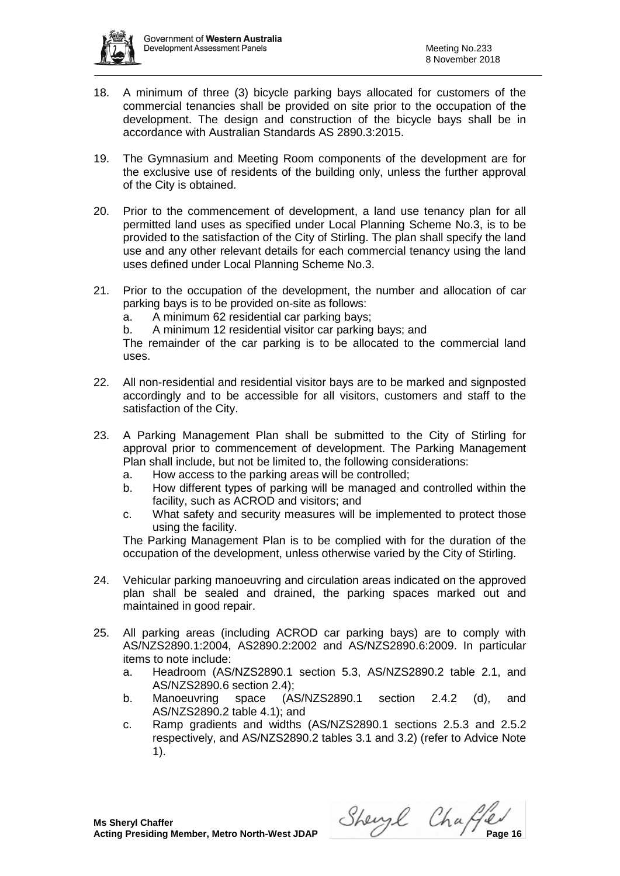

- 18. A minimum of three (3) bicycle parking bays allocated for customers of the commercial tenancies shall be provided on site prior to the occupation of the development. The design and construction of the bicycle bays shall be in accordance with Australian Standards AS 2890.3:2015.
- 19. The Gymnasium and Meeting Room components of the development are for the exclusive use of residents of the building only, unless the further approval of the City is obtained.
- 20. Prior to the commencement of development, a land use tenancy plan for all permitted land uses as specified under Local Planning Scheme No.3, is to be provided to the satisfaction of the City of Stirling. The plan shall specify the land use and any other relevant details for each commercial tenancy using the land uses defined under Local Planning Scheme No.3.
- 21. Prior to the occupation of the development, the number and allocation of car parking bays is to be provided on-site as follows:
	- a. A minimum 62 residential car parking bays;
	- b. A minimum 12 residential visitor car parking bays; and

The remainder of the car parking is to be allocated to the commercial land uses.

- 22. All non-residential and residential visitor bays are to be marked and signposted accordingly and to be accessible for all visitors, customers and staff to the satisfaction of the City.
- 23. A Parking Management Plan shall be submitted to the City of Stirling for approval prior to commencement of development. The Parking Management Plan shall include, but not be limited to, the following considerations:
	- a. How access to the parking areas will be controlled;
	- b. How different types of parking will be managed and controlled within the facility, such as ACROD and visitors; and
	- c. What safety and security measures will be implemented to protect those using the facility.

The Parking Management Plan is to be complied with for the duration of the occupation of the development, unless otherwise varied by the City of Stirling.

- 24. Vehicular parking manoeuvring and circulation areas indicated on the approved plan shall be sealed and drained, the parking spaces marked out and maintained in good repair.
- 25. All parking areas (including ACROD car parking bays) are to comply with AS/NZS2890.1:2004, AS2890.2:2002 and AS/NZS2890.6:2009. In particular items to note include:
	- a. Headroom (AS/NZS2890.1 section 5.3, AS/NZS2890.2 table 2.1, and AS/NZS2890.6 section 2.4);
	- b. Manoeuvring space (AS/NZS2890.1 section 2.4.2 (d), and AS/NZS2890.2 table 4.1); and
	- c. Ramp gradients and widths (AS/NZS2890.1 sections 2.5.3 and 2.5.2 respectively, and AS/NZS2890.2 tables 3.1 and 3.2) (refer to Advice Note 1).

**Acting Presiding Member, Metro North-West JDAP** Sherry Channel Changer Presiding Member, Metro North-West JDAP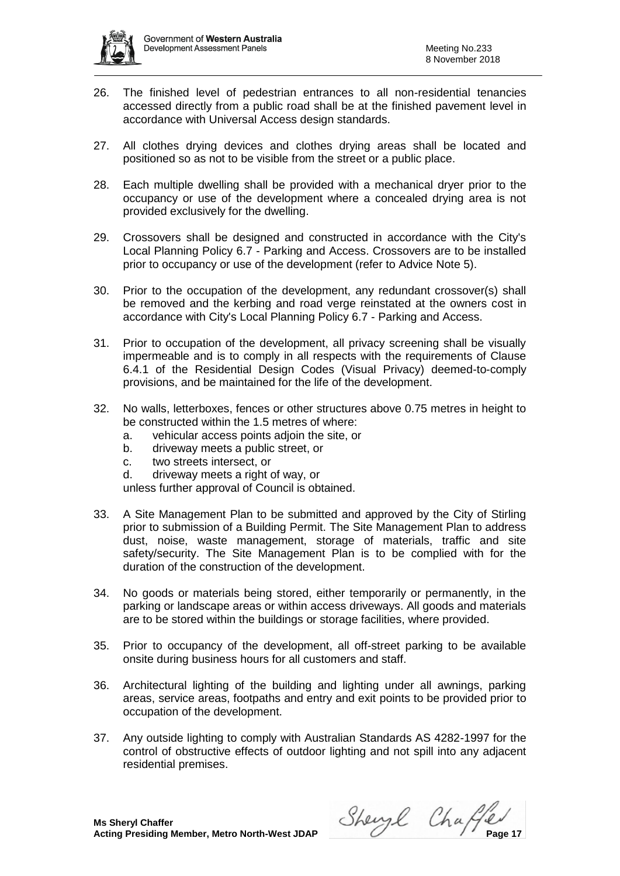

- 26. The finished level of pedestrian entrances to all non-residential tenancies accessed directly from a public road shall be at the finished pavement level in accordance with Universal Access design standards.
- 27. All clothes drying devices and clothes drying areas shall be located and positioned so as not to be visible from the street or a public place.
- 28. Each multiple dwelling shall be provided with a mechanical dryer prior to the occupancy or use of the development where a concealed drying area is not provided exclusively for the dwelling.
- 29. Crossovers shall be designed and constructed in accordance with the City's Local Planning Policy 6.7 - Parking and Access. Crossovers are to be installed prior to occupancy or use of the development (refer to Advice Note 5).
- 30. Prior to the occupation of the development, any redundant crossover(s) shall be removed and the kerbing and road verge reinstated at the owners cost in accordance with City's Local Planning Policy 6.7 - Parking and Access.
- 31. Prior to occupation of the development, all privacy screening shall be visually impermeable and is to comply in all respects with the requirements of Clause 6.4.1 of the Residential Design Codes (Visual Privacy) deemed-to-comply provisions, and be maintained for the life of the development.
- 32. No walls, letterboxes, fences or other structures above 0.75 metres in height to be constructed within the 1.5 metres of where:
	- a. vehicular access points adjoin the site, or
	- b. driveway meets a public street, or
	- c. two streets intersect, or
	- d. driveway meets a right of way, or

unless further approval of Council is obtained.

- 33. A Site Management Plan to be submitted and approved by the City of Stirling prior to submission of a Building Permit. The Site Management Plan to address dust, noise, waste management, storage of materials, traffic and site safety/security. The Site Management Plan is to be complied with for the duration of the construction of the development.
- 34. No goods or materials being stored, either temporarily or permanently, in the parking or landscape areas or within access driveways. All goods and materials are to be stored within the buildings or storage facilities, where provided.
- 35. Prior to occupancy of the development, all off-street parking to be available onsite during business hours for all customers and staff.
- 36. Architectural lighting of the building and lighting under all awnings, parking areas, service areas, footpaths and entry and exit points to be provided prior to occupation of the development.
- 37. Any outside lighting to comply with Australian Standards AS 4282-1997 for the control of obstructive effects of outdoor lighting and not spill into any adjacent residential premises.

**Acting Presiding Member, Metro North-West JDAP** Sherry Channel Channel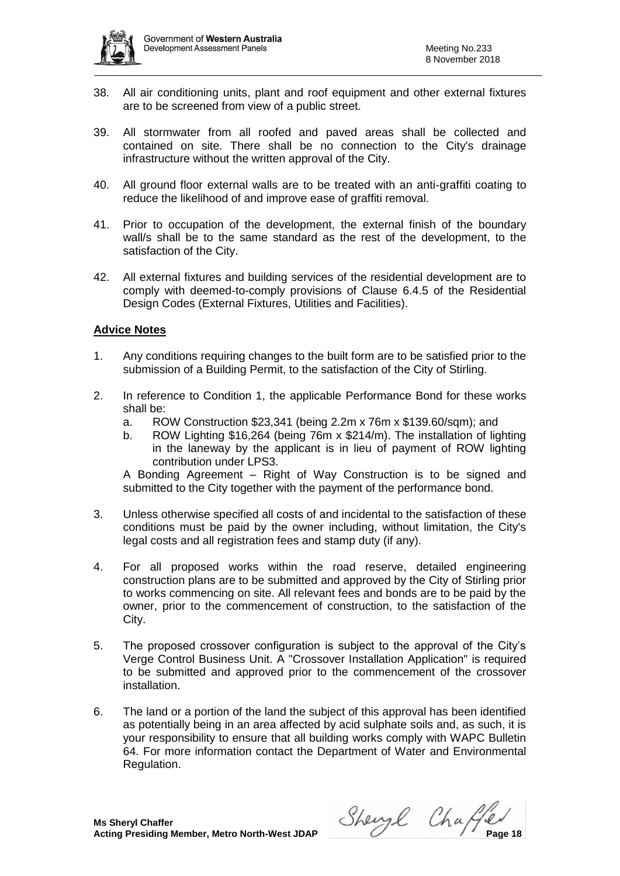

- 38. All air conditioning units, plant and roof equipment and other external fixtures are to be screened from view of a public street.
- 39. All stormwater from all roofed and paved areas shall be collected and contained on site. There shall be no connection to the City's drainage infrastructure without the written approval of the City.
- 40. All ground floor external walls are to be treated with an anti-graffiti coating to reduce the likelihood of and improve ease of graffiti removal.
- 41. Prior to occupation of the development, the external finish of the boundary wall/s shall be to the same standard as the rest of the development, to the satisfaction of the City.
- 42. All external fixtures and building services of the residential development are to comply with deemed-to-comply provisions of Clause 6.4.5 of the Residential Design Codes (External Fixtures, Utilities and Facilities).

# **Advice Notes**

- 1. Any conditions requiring changes to the built form are to be satisfied prior to the submission of a Building Permit, to the satisfaction of the City of Stirling.
- 2. In reference to Condition 1, the applicable Performance Bond for these works shall be:
	- a. ROW Construction \$23,341 (being 2.2m x 76m x \$139.60/sqm); and
	- b. ROW Lighting \$16,264 (being 76m x \$214/m). The installation of lighting in the laneway by the applicant is in lieu of payment of ROW lighting contribution under LPS3.

A Bonding Agreement – Right of Way Construction is to be signed and submitted to the City together with the payment of the performance bond.

- 3. Unless otherwise specified all costs of and incidental to the satisfaction of these conditions must be paid by the owner including, without limitation, the City's legal costs and all registration fees and stamp duty (if any).
- 4. For all proposed works within the road reserve, detailed engineering construction plans are to be submitted and approved by the City of Stirling prior to works commencing on site. All relevant fees and bonds are to be paid by the owner, prior to the commencement of construction, to the satisfaction of the City.
- 5. The proposed crossover configuration is subject to the approval of the City's Verge Control Business Unit. A "Crossover Installation Application" is required to be submitted and approved prior to the commencement of the crossover installation.
- 6. The land or a portion of the land the subject of this approval has been identified as potentially being in an area affected by acid sulphate soils and, as such, it is your responsibility to ensure that all building works comply with WAPC Bulletin 64. For more information contact the Department of Water and Environmental Regulation.

**Acting Presiding Member, Metro North-West JDAP** Sherry Change Changer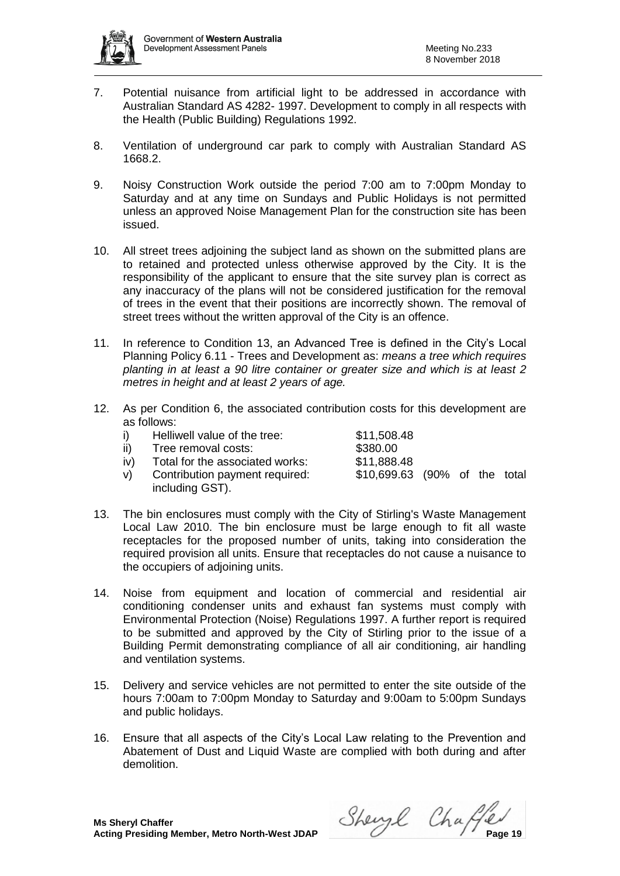

- 7. Potential nuisance from artificial light to be addressed in accordance with Australian Standard AS 4282- 1997. Development to comply in all respects with the Health (Public Building) Regulations 1992.
- 8. Ventilation of underground car park to comply with Australian Standard AS 1668.2.
- 9. Noisy Construction Work outside the period 7:00 am to 7:00pm Monday to Saturday and at any time on Sundays and Public Holidays is not permitted unless an approved Noise Management Plan for the construction site has been issued.
- 10. All street trees adjoining the subject land as shown on the submitted plans are to retained and protected unless otherwise approved by the City. It is the responsibility of the applicant to ensure that the site survey plan is correct as any inaccuracy of the plans will not be considered justification for the removal of trees in the event that their positions are incorrectly shown. The removal of street trees without the written approval of the City is an offence.
- 11. In reference to Condition 13, an Advanced Tree is defined in the City's Local Planning Policy 6.11 - Trees and Development as: *means a tree which requires planting in at least a 90 litre container or greater size and which is at least 2 metres in height and at least 2 years of age.*
- 12. As per Condition 6, the associated contribution costs for this development are as follows:

| i)  | Helliwell value of the tree:    | \$11,508.48                   |  |  |
|-----|---------------------------------|-------------------------------|--|--|
| ii) | Tree removal costs:             | \$380.00                      |  |  |
| iv) | Total for the associated works: | \$11,888.48                   |  |  |
| V   | Contribution payment required:  | \$10,699.63 (90% of the total |  |  |
|     | including GST).                 |                               |  |  |

- 13. The bin enclosures must comply with the City of Stirling's Waste Management Local Law 2010. The bin enclosure must be large enough to fit all waste receptacles for the proposed number of units, taking into consideration the required provision all units. Ensure that receptacles do not cause a nuisance to the occupiers of adjoining units.
- 14. Noise from equipment and location of commercial and residential air conditioning condenser units and exhaust fan systems must comply with Environmental Protection (Noise) Regulations 1997. A further report is required to be submitted and approved by the City of Stirling prior to the issue of a Building Permit demonstrating compliance of all air conditioning, air handling and ventilation systems.
- 15. Delivery and service vehicles are not permitted to enter the site outside of the hours 7:00am to 7:00pm Monday to Saturday and 9:00am to 5:00pm Sundays and public holidays.
- 16. Ensure that all aspects of the City's Local Law relating to the Prevention and Abatement of Dust and Liquid Waste are complied with both during and after demolition.

**Acting Presiding Member, Metro North-West JDAP** Sherry Change 19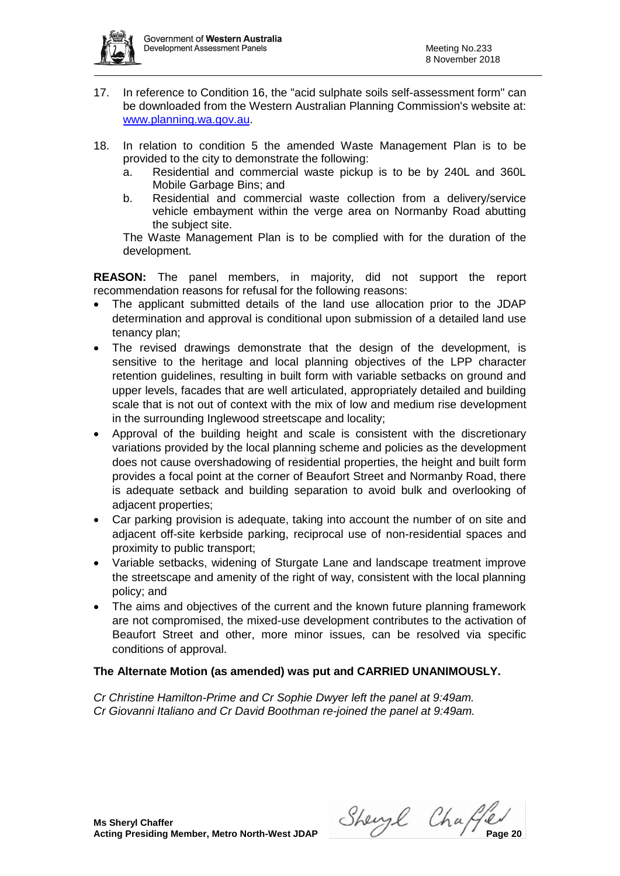

- 17. In reference to Condition 16, the "acid sulphate soils self-assessment form" can be downloaded from the Western Australian Planning Commission's website at: [www.planning.wa.gov.au.](http://www.planning.wa.gov.au/)
- 18. In relation to condition 5 the amended Waste Management Plan is to be provided to the city to demonstrate the following:
	- a. Residential and commercial waste pickup is to be by 240L and 360L Mobile Garbage Bins; and
	- b. Residential and commercial waste collection from a delivery/service vehicle embayment within the verge area on Normanby Road abutting the subject site.

The Waste Management Plan is to be complied with for the duration of the development*.*

**REASON:** The panel members, in majority, did not support the report recommendation reasons for refusal for the following reasons:

- The applicant submitted details of the land use allocation prior to the JDAP determination and approval is conditional upon submission of a detailed land use tenancy plan;
- The revised drawings demonstrate that the design of the development, is sensitive to the heritage and local planning objectives of the LPP character retention guidelines, resulting in built form with variable setbacks on ground and upper levels, facades that are well articulated, appropriately detailed and building scale that is not out of context with the mix of low and medium rise development in the surrounding Inglewood streetscape and locality;
- Approval of the building height and scale is consistent with the discretionary variations provided by the local planning scheme and policies as the development does not cause overshadowing of residential properties, the height and built form provides a focal point at the corner of Beaufort Street and Normanby Road, there is adequate setback and building separation to avoid bulk and overlooking of adjacent properties;
- Car parking provision is adequate, taking into account the number of on site and adjacent off-site kerbside parking, reciprocal use of non-residential spaces and proximity to public transport;
- Variable setbacks, widening of Sturgate Lane and landscape treatment improve the streetscape and amenity of the right of way, consistent with the local planning policy; and
- The aims and objectives of the current and the known future planning framework are not compromised, the mixed-use development contributes to the activation of Beaufort Street and other, more minor issues, can be resolved via specific conditions of approval.

# **The Alternate Motion (as amended) was put and CARRIED UNANIMOUSLY.**

*Cr Christine Hamilton-Prime and Cr Sophie Dwyer left the panel at 9:49am. Cr Giovanni Italiano and Cr David Boothman re-joined the panel at 9:49am.*

**Acting Presiding Member, Metro North-West JDAP** Sherry Change 2014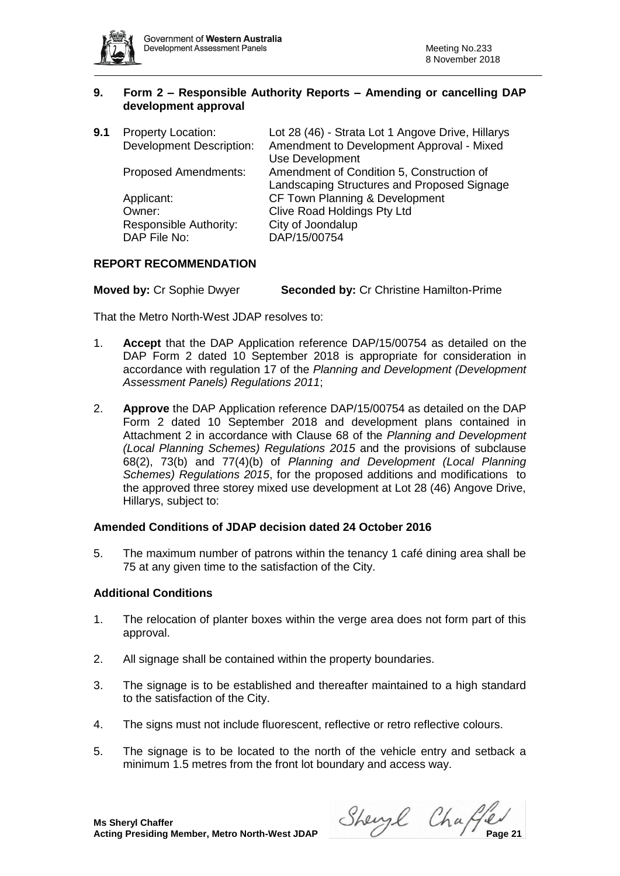

# **9. Form 2 – Responsible Authority Reports – Amending or cancelling DAP development approval**

| 9.1 | <b>Property Location:</b><br><b>Development Description:</b> | Lot 28 (46) - Strata Lot 1 Angove Drive, Hillarys<br>Amendment to Development Approval - Mixed<br>Use Development |
|-----|--------------------------------------------------------------|-------------------------------------------------------------------------------------------------------------------|
|     | <b>Proposed Amendments:</b>                                  | Amendment of Condition 5, Construction of<br>Landscaping Structures and Proposed Signage                          |
|     | Applicant:                                                   | CF Town Planning & Development                                                                                    |
|     | Owner:                                                       | <b>Clive Road Holdings Pty Ltd</b>                                                                                |
|     | Responsible Authority:<br>DAP File No:                       | City of Joondalup<br>DAP/15/00754                                                                                 |
|     |                                                              |                                                                                                                   |

# **REPORT RECOMMENDATION**

**Moved by:** Cr Sophie Dwyer **Seconded by:** Cr Christine Hamilton-Prime

That the Metro North-West JDAP resolves to:

- 1. **Accept** that the DAP Application reference DAP/15/00754 as detailed on the DAP Form 2 dated 10 September 2018 is appropriate for consideration in accordance with regulation 17 of the *Planning and Development (Development Assessment Panels) Regulations 2011*;
- 2. **Approve** the DAP Application reference DAP/15/00754 as detailed on the DAP Form 2 dated 10 September 2018 and development plans contained in Attachment 2 in accordance with Clause 68 of the *Planning and Development (Local Planning Schemes) Regulations 2015* and the provisions of subclause 68(2), 73(b) and 77(4)(b) of *Planning and Development (Local Planning Schemes) Regulations 2015*, for the proposed additions and modifications to the approved three storey mixed use development at Lot 28 (46) Angove Drive, Hillarys, subject to:

# **Amended Conditions of JDAP decision dated 24 October 2016**

5. The maximum number of patrons within the tenancy 1 café dining area shall be 75 at any given time to the satisfaction of the City.

# **Additional Conditions**

- 1. The relocation of planter boxes within the verge area does not form part of this approval.
- 2. All signage shall be contained within the property boundaries.
- 3. The signage is to be established and thereafter maintained to a high standard to the satisfaction of the City.
- 4. The signs must not include fluorescent, reflective or retro reflective colours.
- 5. The signage is to be located to the north of the vehicle entry and setback a minimum 1.5 metres from the front lot boundary and access way.

**Acting Presiding Member, Metro North-West JDAP** Sherry Change 21